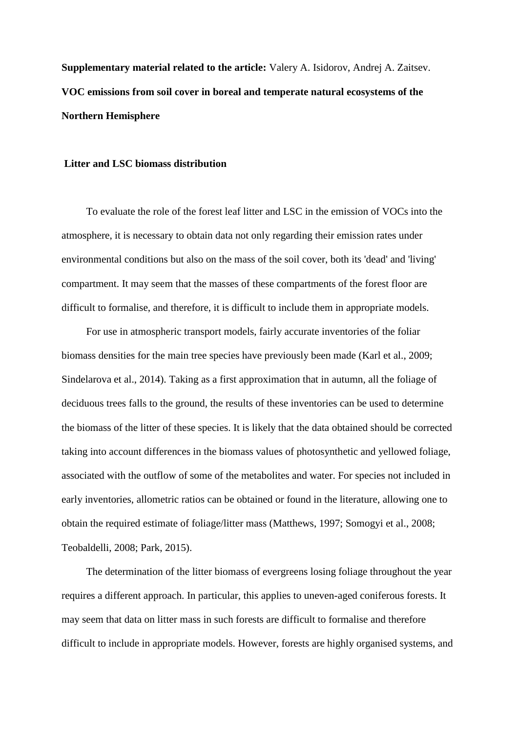**Supplementary material related to the article:** Valery A. Isidorov, Andrej A. Zaitsev. **VOC emissions from soil cover in boreal and temperate natural ecosystems of the Northern Hemisphere**

## **Litter and LSC biomass distribution**

To evaluate the role of the forest leaf litter and LSC in the emission of VOCs into the atmosphere, it is necessary to obtain data not only regarding their emission rates under environmental conditions but also on the mass of the soil cover, both its 'dead' and 'living' compartment. It may seem that the masses of these compartments of the forest floor are difficult to formalise, and therefore, it is difficult to include them in appropriate models.

For use in atmospheric transport models, fairly accurate inventories of the foliar biomass densities for the main tree species have previously been made (Karl et al., 2009; Sindelarova et al., 2014). Taking as a first approximation that in autumn, all the foliage of deciduous trees falls to the ground, the results of these inventories can be used to determine the biomass of the litter of these species. It is likely that the data obtained should be corrected taking into account differences in the biomass values of photosynthetic and yellowed foliage, associated with the outflow of some of the metabolites and water. For species not included in early inventories, allometric ratios can be obtained or found in the literature, allowing one to obtain the required estimate of foliage/litter mass (Matthews, 1997; Somogyi et al., 2008; Teobaldelli, 2008; Park, 2015).

The determination of the litter biomass of evergreens losing foliage throughout the year requires a different approach. In particular, this applies to uneven-aged coniferous forests. It may seem that data on litter mass in such forests are difficult to formalise and therefore difficult to include in appropriate models. However, forests are highly organised systems, and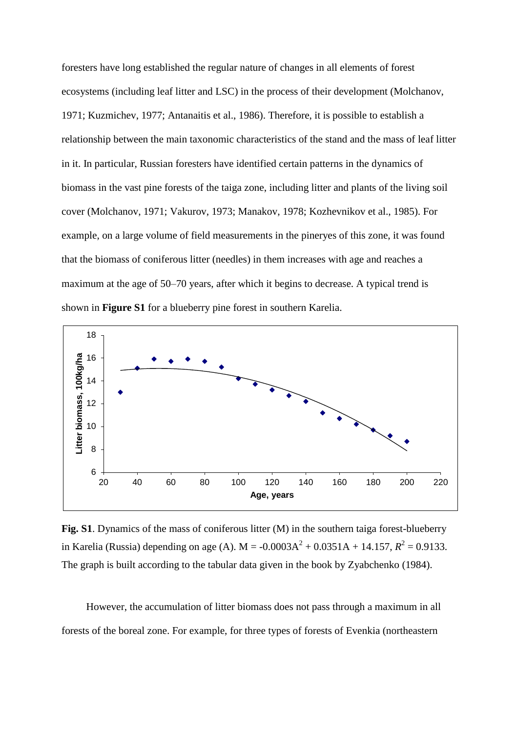foresters have long established the regular nature of changes in all elements of forest ecosystems (including leaf litter and LSC) in the process of their development (Molchanov, 1971; Kuzmichev, 1977; Antanaitis et al., 1986). Therefore, it is possible to establish a relationship between the main taxonomic characteristics of the stand and the mass of leaf litter in it. In particular, Russian foresters have identified certain patterns in the dynamics of biomass in the vast pine forests of the taiga zone, including litter and plants of the living soil cover (Molchanov, 1971; Vakurov, 1973; Manakov, 1978; Kozhevnikov et al., 1985). For example, on a large volume of field measurements in the pineryes of this zone, it was found that the biomass of coniferous litter (needles) in them increases with age and reaches a maximum at the age of 50–70 years, after which it begins to decrease. A typical trend is shown in **Figure S1** for a blueberry pine forest in southern Karelia.



Fig. S1. Dynamics of the mass of coniferous litter (M) in the southern taiga forest-blueberry in Karelia (Russia) depending on age (A).  $M = -0.0003A^2 + 0.0351A + 14.157$ ,  $R^2 = 0.9133$ . The graph is built according to the tabular data given in the book by Zyabchenko (1984).

However, the accumulation of litter biomass does not pass through a maximum in all forests of the boreal zone. For example, for three types of forests of Evenkia (northeastern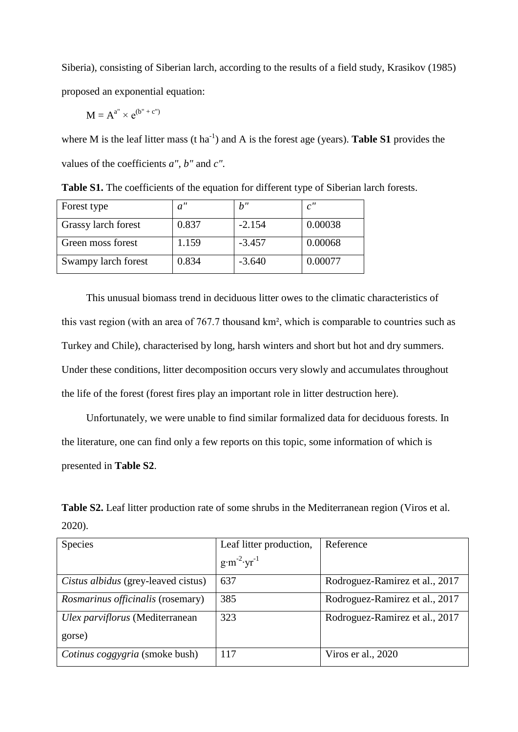Siberia), consisting of Siberian larch, according to the results of a field study, Krasikov (1985) proposed an exponential equation:

$$
M = A^{a''} \times e^{(b'' + c'')}
$$

where M is the leaf litter mass  $(t \text{ ha}^{-1})$  and A is the forest age (years). **Table S1** provides the values of the coefficients *a", b"* and *c".*

| Forest type         | a''   | b"       | c''     |
|---------------------|-------|----------|---------|
| Grassy larch forest | 0.837 | $-2.154$ | 0.00038 |
| Green moss forest   | 1.159 | $-3.457$ | 0.00068 |
| Swampy larch forest | 0.834 | $-3.640$ | 0.00077 |

**Table S1.** The coefficients of the equation for different type of Siberian larch forests.

This unusual biomass trend in deciduous litter owes to the climatic characteristics of this vast region (with an area of 767.7 thousand km², which is comparable to countries such as Turkey and Chile), characterised by long, harsh winters and short but hot and dry summers. Under these conditions, litter decomposition occurs very slowly and accumulates throughout the life of the forest (forest fires play an important role in litter destruction here).

Unfortunately, we were unable to find similar formalized data for deciduous forests. In the literature, one can find only a few reports on this topic, some information of which is presented in **Table S2**.

**Table S2.** Leaf litter production rate of some shrubs in the Mediterranean region (Viros et al. 2020).

| <b>Species</b>                      | Leaf litter production,        | Reference                      |
|-------------------------------------|--------------------------------|--------------------------------|
|                                     | $g \cdot m^{-2} \cdot yr^{-1}$ |                                |
| Cistus albidus (grey-leaved cistus) | 637                            | Rodroguez-Ramirez et al., 2017 |
| Rosmarinus officinalis (rosemary)   | 385                            | Rodroguez-Ramirez et al., 2017 |
| Ulex parviflorus (Mediterranean     | 323                            | Rodroguez-Ramirez et al., 2017 |
| gorse)                              |                                |                                |
| Cotinus coggygria (smoke bush)      | 117                            | Viros er al., 2020             |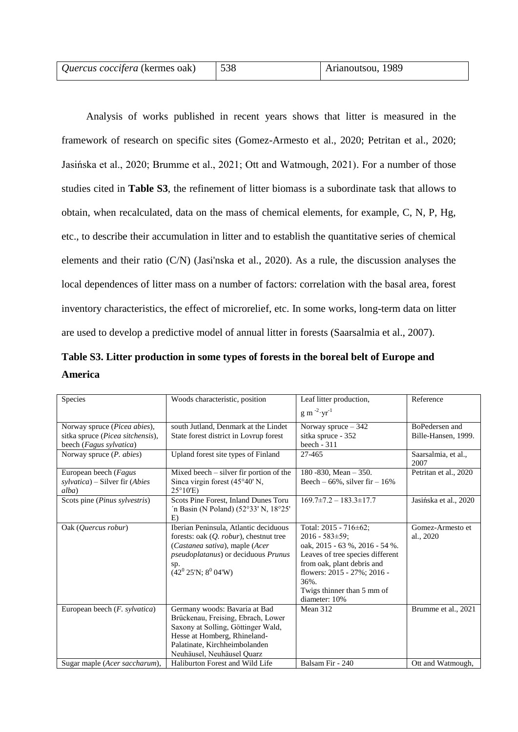| Quercus coccifera (kermes oak) | 538 | Arianoutsou, 1989 |
|--------------------------------|-----|-------------------|

Analysis of works published in recent years shows that litter is measured in the framework of research on specific sites (Gomez-Armesto et al., 2020; Petritan et al., 2020; Jasińska et al., 2020; Brumme et al., 2021; Ott and Watmough, 2021). For a number of those studies cited in **Table S3**, the refinement of litter biomass is a subordinate task that allows to obtain, when recalculated, data on the mass of chemical elements, for example, C, N, P, Hg, etc., to describe their accumulation in litter and to establish the quantitative series of chemical elements and their ratio (C/N) (Jasi'nska et al., 2020). As a rule, the discussion analyses the local dependences of litter mass on a number of factors: correlation with the basal area, forest inventory characteristics, the effect of microrelief, etc. In some works, long-term data on litter are used to develop a predictive model of annual litter in forests (Saarsalmia et al., 2007).

| Table S3. Litter production in some types of forests in the boreal belt of Europe and |  |
|---------------------------------------------------------------------------------------|--|
| America                                                                               |  |

| Species                               | Woods characteristic, position                   | Leaf litter production,                               | Reference                   |
|---------------------------------------|--------------------------------------------------|-------------------------------------------------------|-----------------------------|
|                                       |                                                  | $g m^{-2} yr^{-1}$                                    |                             |
| Norway spruce ( <i>Picea abies</i> ), | south Jutland, Denmark at the Lindet             | Norway spruce $-342$                                  | BoPedersen and              |
| sitka spruce (Picea sitchensis),      | State forest district in Lovrup forest           | sitka spruce - 352                                    | Bille-Hansen, 1999.         |
| beech (Fagus sylvatica)               |                                                  | beech - 311                                           |                             |
| Norway spruce (P. abies)              | Upland forest site types of Finland              | 27-465                                                | Saarsalmia, et al.,<br>2007 |
| European beech (Fagus                 | Mixed beech $-$ silver fir portion of the        | 180 - 830, Mean $-350$ .                              | Petritan et al., 2020       |
| sylvatica) – Silver fir (Abies        | Sinca virgin forest $(45^{\circ}40^{\circ} N,$   | Beech $-66\%$ , silver fir $-16\%$                    |                             |
| alba)                                 | $25^{\circ}10'E$                                 |                                                       |                             |
| Scots pine (Pinus sylvestris)         | Scots Pine Forest, Inland Dunes Toru             | $169.7 \pm 7.2 - 183.3 \pm 17.7$                      | Jasińska et al., 2020       |
|                                       | 'n Basin (N Poland) (52°33' N, 18°25'<br>E)      |                                                       |                             |
|                                       |                                                  |                                                       | Gomez-Armesto et            |
| Oak (Quercus robur)                   | Iberian Peninsula, Atlantic deciduous            | Total: $2015 - 716 \pm 62$ ;<br>$2016 - 583 \pm 59$ ; |                             |
|                                       | forests: oak $(Q.$ <i>robur</i> ), chestnut tree |                                                       | al., 2020                   |
|                                       | (Castanea sativa), maple (Acer                   | oak, 2015 - 63 %, 2016 - 54 %.                        |                             |
|                                       | <i>pseudoplatanus</i> ) or deciduous Prunus      | Leaves of tree species different                      |                             |
|                                       | sp.<br>$(42^0 25'N; 8^0 04'W)$                   | from oak, plant debris and                            |                             |
|                                       |                                                  | flowers: 2015 - 27%; 2016 -<br>36%.                   |                             |
|                                       |                                                  |                                                       |                             |
|                                       |                                                  | Twigs thinner than 5 mm of<br>diameter: 10%           |                             |
| European beech (F. sylvatica)         | Germany woods: Bavaria at Bad                    | Mean 312                                              | Brumme et al., 2021         |
|                                       | Brückenau, Freising, Ebrach, Lower               |                                                       |                             |
|                                       | Saxony at Solling, Göttinger Wald,               |                                                       |                             |
|                                       | Hesse at Homberg, Rhineland-                     |                                                       |                             |
|                                       | Palatinate, Kirchheimbolanden                    |                                                       |                             |
|                                       | Neuhäusel, Neuhäusel Quarz                       |                                                       |                             |
| Sugar maple (Acer saccharum),         | Haliburton Forest and Wild Life                  | Balsam Fir - 240                                      | Ott and Watmough.           |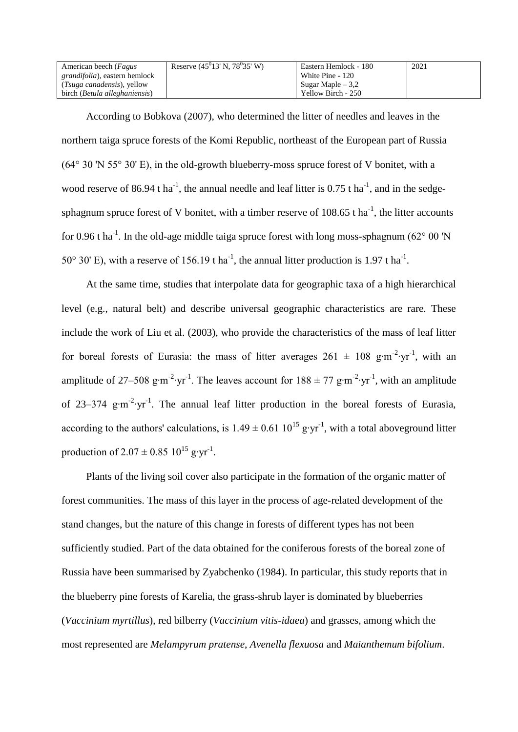| American beech (Fagus                  | Reserve $(45^{\circ}13'$ N, $78^{\circ}35'$ W) | Eastern Hemlock - 180 | 2021 |
|----------------------------------------|------------------------------------------------|-----------------------|------|
| <i>grandifolia</i> ), eastern hemlock  |                                                | White Pine - 120      |      |
| ( <i>Tsuga canadensis</i> ), yellow    |                                                | Sugar Maple $-3.2$    |      |
| birch ( <i>Betula alleghaniensis</i> ) |                                                | Yellow Birch - 250    |      |

According to Bobkova (2007), who determined the litter of needles and leaves in the northern taiga spruce forests of the Komi Republic, northeast of the European part of Russia  $(64° 30' N 55° 30' E)$ , in the old-growth blueberry-moss spruce forest of V bonitet, with a wood reserve of 86.94 t ha<sup>-1</sup>, the annual needle and leaf litter is 0.75 t ha<sup>-1</sup>, and in the sedgesphagnum spruce forest of V bonitet, with a timber reserve of  $108.65$  t ha<sup>-1</sup>, the litter accounts for 0.96 t ha<sup>-1</sup>. In the old-age middle taiga spruce forest with long moss-sphagnum (62 $\degree$  00 'N 50° 30' E), with a reserve of 156.19 t ha<sup>-1</sup>, the annual litter production is 1.97 t ha<sup>-1</sup>.

At the same time, studies that interpolate data for geographic taxa of a high hierarchical level (e.g., natural belt) and describe universal geographic characteristics are rare. These include the work of Liu et al. (2003), who provide the characteristics of the mass of leaf litter for boreal forests of Eurasia: the mass of litter averages  $261 \pm 108$  g⋅m<sup>-2</sup>⋅yr<sup>-1</sup>, with an amplitude of 27–508 g⋅m<sup>-2</sup>⋅yr<sup>-1</sup>. The leaves account for  $188 \pm 77$  g⋅m<sup>-2</sup>⋅yr<sup>-1</sup>, with an amplitude of 23–374  $\text{g} \cdot \text{m}^{-2} \cdot \text{yr}^{-1}$ . The annual leaf litter production in the boreal forests of Eurasia, according to the authors' calculations, is  $1.49 \pm 0.61$   $10^{15}$  g⋅yr<sup>-1</sup>, with a total aboveground litter production of 2.07  $\pm$  0.85 10<sup>15</sup> g⋅yr<sup>-1</sup>.

Plants of the living soil cover also participate in the formation of the organic matter of forest communities. The mass of this layer in the process of age-related development of the stand changes, but the nature of this change in forests of different types has not been sufficiently studied. Part of the data obtained for the coniferous forests of the boreal zone of Russia have been summarised by Zyabchenko (1984). In particular, this study reports that in the blueberry pine forests of Karelia, the grass-shrub layer is dominated by blueberries (*Vaccinium myrtillus*), red bilberry (*Vaccinium vitis-idaea*) and grasses, among which the most represented are *Melampyrum pratense*, *Avenella flexuosa* and *Maianthemum bifolium*.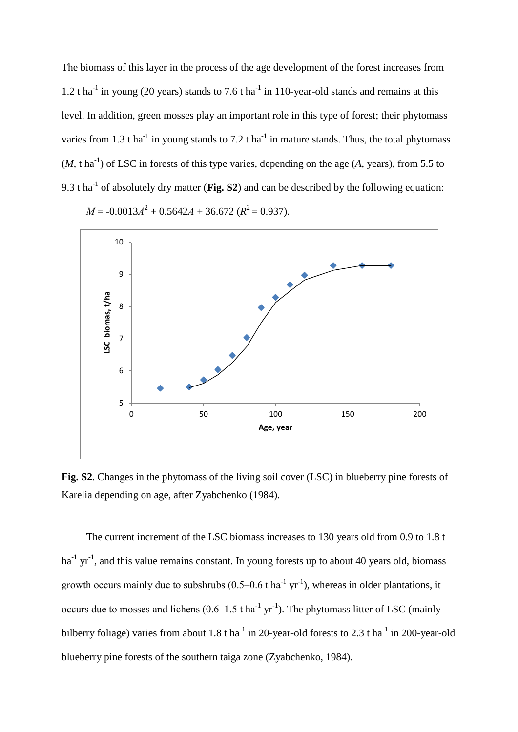The biomass of this layer in the process of the age development of the forest increases from 1.2 t ha<sup>-1</sup> in young (20 years) stands to 7.6 t ha<sup>-1</sup> in 110-year-old stands and remains at this level. In addition, green mosses play an important role in this type of forest; their phytomass varies from 1.3 t ha<sup>-1</sup> in young stands to 7.2 t ha<sup>-1</sup> in mature stands. Thus, the total phytomass  $(M, t \, \text{ha}^{-1})$  of LSC in forests of this type varies, depending on the age  $(A, \text{years})$ , from 5.5 to 9.3 t ha<sup>-1</sup> of absolutely dry matter (**Fig. S2**) and can be described by the following equation:



 $M = -0.0013A^2 + 0.5642A + 36.672 (R^2 = 0.937).$ 

**Fig. S2**. Changes in the phytomass of the living soil cover (LSC) in blueberry pine forests of Karelia depending on age, after Zyabchenko (1984).

The current increment of the LSC biomass increases to 130 years old from 0.9 to 1.8 t  $ha^{-1}$  yr<sup>-1</sup>, and this value remains constant. In young forests up to about 40 years old, biomass growth occurs mainly due to subshrubs  $(0.5-0.6 \text{ t ha}^{-1} \text{ yr}^{-1})$ , whereas in older plantations, it occurs due to mosses and lichens  $(0.6-1.5 \text{ t ha}^{-1} \text{ yr}^{-1})$ . The phytomass litter of LSC (mainly bilberry foliage) varies from about 1.8 t ha<sup>-1</sup> in 20-year-old forests to 2.3 t ha<sup>-1</sup> in 200-year-old blueberry pine forests of the southern taiga zone (Zyabchenko, 1984).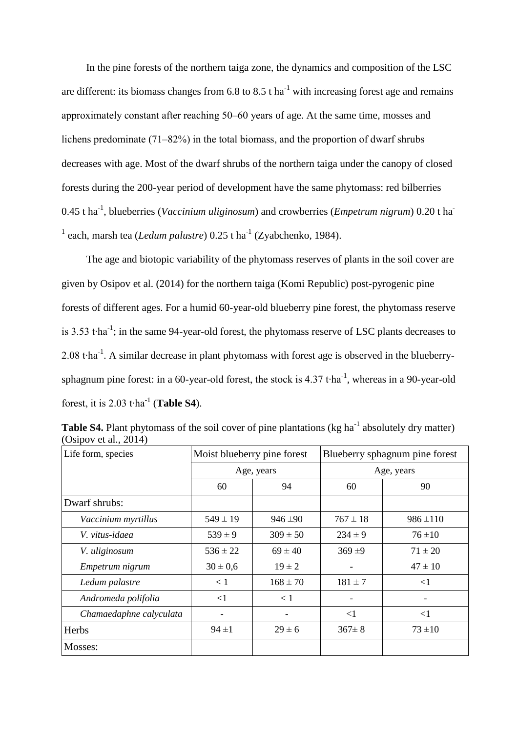In the pine forests of the northern taiga zone, the dynamics and composition of the LSC are different: its biomass changes from 6.8 to 8.5 t ha<sup>-1</sup> with increasing forest age and remains approximately constant after reaching 50–60 years of age. At the same time, mosses and lichens predominate  $(71-82%)$  in the total biomass, and the proportion of dwarf shrubs decreases with age. Most of the dwarf shrubs of the northern taiga under the canopy of closed forests during the 200-year period of development have the same phytomass: red bilberries 0.45 t ha<sup>-1</sup>, blueberries (*Vaccinium uliginosum*) and crowberries (*Empetrum nigrum*) 0.20 t ha<sup>-1</sup>  $<sup>1</sup>$  each, marsh tea (*Ledum palustre*) 0.25 t ha<sup>-1</sup> (Zyabchenko, 1984).</sup>

The age and biotopic variability of the phytomass reserves of plants in the soil cover are given by Osipov et al. (2014) for the northern taiga (Komi Republic) post-pyrogenic pine forests of different ages. For a humid 60-year-old blueberry pine forest, the phytomass reserve is 3.53 t⋅ha<sup>-1</sup>; in the same 94-year-old forest, the phytomass reserve of LSC plants decreases to 2.08 t⋅ha<sup>-1</sup>. A similar decrease in plant phytomass with forest age is observed in the blueberrysphagnum pine forest: in a 60-year-old forest, the stock is  $4.37$  t⋅ha<sup>-1</sup>, whereas in a 90-year-old forest, it is 2.03 t⋅ha<sup>-1</sup> (Table S4).

| Life form, species      | Moist blueberry pine forest |              | Blueberry sphagnum pine forest |               |  |
|-------------------------|-----------------------------|--------------|--------------------------------|---------------|--|
|                         |                             | Age, years   |                                | Age, years    |  |
|                         | 60                          | 94           | 60                             | 90            |  |
| Dwarf shrubs:           |                             |              |                                |               |  |
| Vaccinium myrtillus     | $549 \pm 19$                | $946 \pm 90$ | $767 \pm 18$                   | $986 \pm 110$ |  |
| V. vitus-idaea          | $539 \pm 9$                 | $309 \pm 50$ | $234 \pm 9$                    | $76 \pm 10$   |  |
| V. uliginosum           | $536 \pm 22$                | $69 \pm 40$  | 369±9                          | $71 \pm 20$   |  |
| Empetrum nigrum         | $30 \pm 0.6$                | $19 \pm 2$   |                                | $47 \pm 10$   |  |
| Ledum palastre          | < 1                         | $168 \pm 70$ | $181 \pm 7$                    | $<$ 1         |  |
| Andromeda polifolia     | $<$ 1                       | < 1          |                                |               |  |
| Chamaedaphne calyculata |                             |              | $\leq$ 1                       | $<$ 1         |  |
| Herbs                   | $94 \pm 1$                  | $29 \pm 6$   | $367 \pm 8$                    | $73 + 10$     |  |
| Mosses:                 |                             |              |                                |               |  |

**Table S4.** Plant phytomass of the soil cover of pine plantations (kg ha<sup>-1</sup> absolutely dry matter) (Osipov et al., 2014)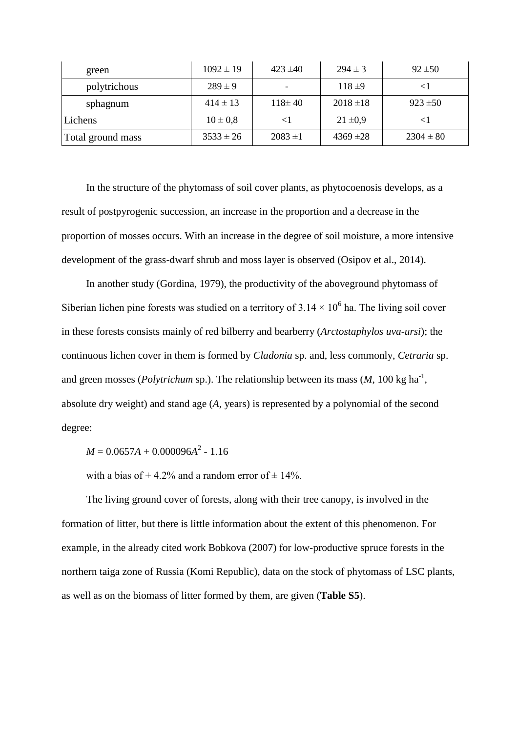| green             | $1092 \pm 19$ | $423 \pm 40$ | $294 \pm 3$   | $92 \pm 50$   |
|-------------------|---------------|--------------|---------------|---------------|
| polytrichous      | $289 \pm 9$   |              | $118 \pm 9$   |               |
| sphagnum          | $414 \pm 13$  | $118 \pm 40$ | $2018 \pm 18$ | $923 \pm 50$  |
| Lichens           | $10 \pm 0.8$  |              | $21 \pm 0.9$  |               |
| Total ground mass | $3533 \pm 26$ | $2083 \pm 1$ | $4369 \pm 28$ | $2304 \pm 80$ |

In the structure of the phytomass of soil cover plants, as phytocoenosis develops, as a result of postpyrogenic succession, an increase in the proportion and a decrease in the proportion of mosses occurs. With an increase in the degree of soil moisture, a more intensive development of the grass-dwarf shrub and moss layer is observed (Osipov et al., 2014).

In another study (Gordina, 1979), the productivity of the aboveground phytomass of Siberian lichen pine forests was studied on a territory of  $3.14 \times 10^6$  ha. The living soil cover in these forests consists mainly of red bilberry and bearberry (*Arctostaphylos uva-ursi*); the continuous lichen cover in them is formed by *Cladonia* sp. and, less commonly, *Cetraria* sp. and green mosses (*Polytrichum* sp.). The relationship between its mass  $(M, 100 \text{ kg ha}^{-1})$ , absolute dry weight) and stand age (*A*, years) is represented by a polynomial of the second degree:

*M* = 0.0657*A* + 0.000096*A* 2 - 1.16

with a bias of  $+4.2\%$  and a random error of  $\pm 14\%$ .

The living ground cover of forests, along with their tree canopy, is involved in the formation of litter, but there is little information about the extent of this phenomenon. For example, in the already cited work Bobkova (2007) for low-productive spruce forests in the northern taiga zone of Russia (Komi Republic), data on the stock of phytomass of LSC plants, as well as on the biomass of litter formed by them, are given (**Table S5**).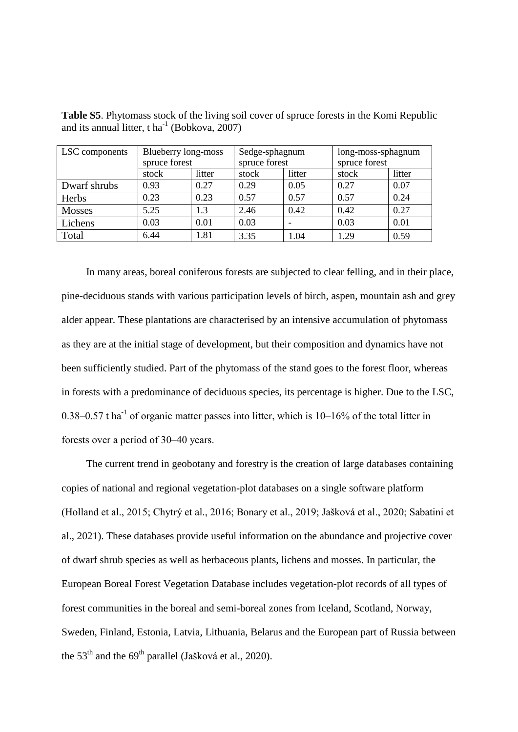| LSC components | Blueberry long-moss |        | Sedge-sphagnum |        | long-moss-sphagnum |        |
|----------------|---------------------|--------|----------------|--------|--------------------|--------|
|                | spruce forest       |        | spruce forest  |        | spruce forest      |        |
|                | stock               | litter | stock          | litter | stock              | litter |
| Dwarf shrubs   | 0.93                | 0.27   | 0.29           | 0.05   | 0.27               | 0.07   |
| Herbs          | 0.23                | 0.23   | 0.57           | 0.57   | 0.57               | 0.24   |
| <b>Mosses</b>  | 5.25                | 1.3    | 2.46           | 0.42   | 0.42               | 0.27   |
| Lichens        | 0.03                | 0.01   | 0.03           |        | 0.03               | 0.01   |
| Total          | 6.44                | 1.81   | 3.35           | 1.04   | 1.29               | 0.59   |

**Table S5**. Phytomass stock of the living soil cover of spruce forests in the Komi Republic and its annual litter,  $t \text{ ha}^{-1}$  (Bobkova, 2007)

In many areas, boreal coniferous forests are subjected to clear felling, and in their place, pine-deciduous stands with various participation levels of birch, aspen, mountain ash and grey alder appear. These plantations are characterised by an intensive accumulation of phytomass as they are at the initial stage of development, but their composition and dynamics have not been sufficiently studied. Part of the phytomass of the stand goes to the forest floor, whereas in forests with a predominance of deciduous species, its percentage is higher. Due to the LSC, 0.38–0.57 t ha<sup>-1</sup> of organic matter passes into litter, which is  $10-16\%$  of the total litter in forests over a period of 30–40 years.

The current trend in geobotany and forestry is the creation of large databases containing copies of national and regional vegetation-plot databases on a single software platform (Holland et al., 2015; Chytrý et al., 2016; Bonary et al., 2019; Jašková et al., 2020; Sabatini et al., 2021). These databases provide useful information on the abundance and projective cover of dwarf shrub species as well as herbaceous plants, lichens and mosses. In particular, the European Boreal Forest Vegetation Database includes vegetation-plot records of all types of forest communities in the boreal and semi-boreal zones from Iceland, Scotland, Norway, Sweden, Finland, Estonia, Latvia, Lithuania, Belarus and the European part of Russia between the  $53<sup>th</sup>$  and the  $69<sup>th</sup>$  parallel (Jašková et al., 2020).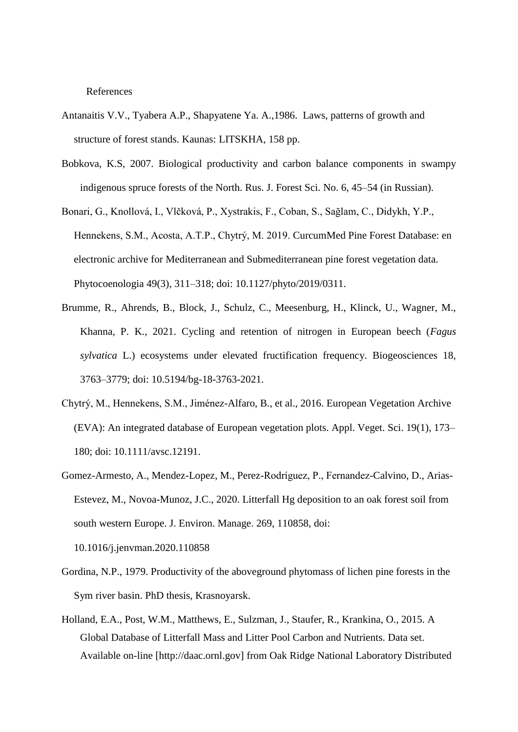References

- Antanaitis V.V., Tyabera A.P., Shapyatene Ya. A.,1986. Laws, patterns of growth and structure of forest stands. Kaunas: LITSKHA, 158 pp.
- Bobkova, K.S, 2007. Biological productivity and carbon balance components in swampy indigenous spruce forests of the North. [Rus. J. Forest Sci.](http://lesovedenie.ru/index.php/forestry) No. 6, 45–54 (in Russian).
- Bonari, G., Knollová, I., Vlčková, P., Xystrakis, F., Coban, S., Sağlam, C., Didykh, Y.P., Hennekens, S.M., Acosta, A.T.P., Chytrý, M. 2019. CurcumMed Pine Forest Database: en electronic archive for Mediterranean and Submediterranean pine forest vegetation data. Phytocoenologia 49(3), 311–318; doi: [10.1127/phyto/2019/0311.](https://doi.org/10.1127/phyto/2019/0311)
- Brumme, R., Ahrends, B., Block, J., Schulz, C., Meesenburg, H., Klinck, U., Wagner, M., Khanna, P. K., 2021. Cycling and retention of nitrogen in European beech (*Fagus sylvatica* L.) ecosystems under elevated fructification frequency. Biogeosciences 18, 3763–3779; [doi: 10.5194/bg-18-3763-2021.](https://doi.org/10.5194/bg-18-3763-2021)
- Chytrý, M., Hennekens, S.M., Jiménez-Alfaro, B., et al., 2016. European Vegetation Archive (EVA): An integrated database of European vegetation plots. Appl. Veget. Sci. 19(1), 173– 180; doi: 10.1111/avsc.12191.
- Gomez-Armesto, A., Mendez-Lopez, M., Perez-Rodríguez, P., Fernandez-Calvino, D., Arias-Estevez, M., Novoa-Munoz, J.C., 2020. Litterfall Hg deposition to an oak forest soil from south western Europe. J. Environ. Manage. 269, 110858, [doi:](https://doi.org/10.1016/j.jenvman.2020.110858)

[10.1016/j.jenvman.2020.110858](https://doi.org/10.1016/j.jenvman.2020.110858)

- Gordina, N.P., 1979. Productivity of the aboveground phytomass of lichen pine forests in the Sym river basin. PhD thesis, Krasnoyarsk.
- Holland, E.A., Post, W.M., Matthews, E., Sulzman, J., Staufer, R., Krankina, O., 2015. A Global Database of Litterfall Mass and Litter Pool Carbon and Nutrients. Data set. Available on-line [http://daac.ornl.gov] from Oak Ridge National Laboratory Distributed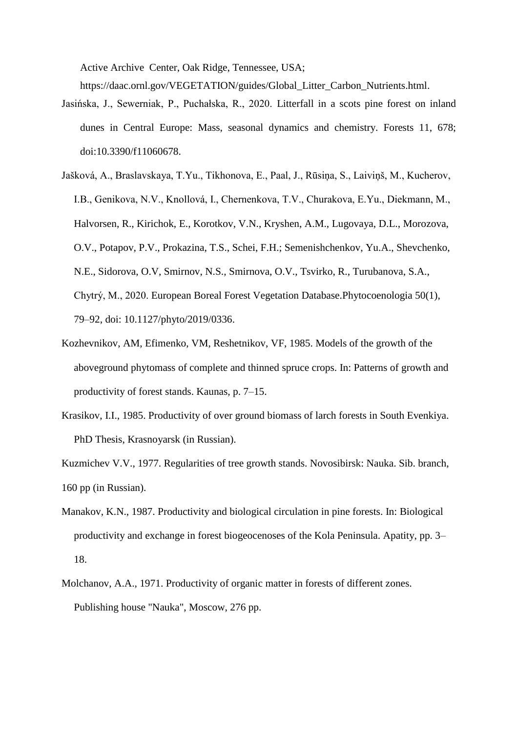Active Archive Center, Oak Ridge, Tennessee, USA;

[https://daac.ornl.gov/VEGETATION/guides/Global\\_Litter\\_Carbon\\_Nutrients.html.](https://daac.ornl.gov/VEGETATION/guides/Global_Litter_Carbon_Nutrients.html)

- Jasińska, J., Sewerniak, P., Puchałska, R., 2020. Litterfall in a scots pine forest on inland dunes in Central Europe: Mass, seasonal dynamics and chemistry. Forests 11, 678; doi:10.3390/f11060678.
- Jašková, A., Braslavskaya, T.Yu., Tikhonova, E., Paal, J., Rūsiņa, S., Laiviņš, M., Kucherov, I.B., Genikova, N.V., Knollová, I., Chernenkova, T.V., Churakova, E.Yu., Diekmann, M., Halvorsen, R., Kirichok, E., Korotkov, V.N., Kryshen, A.M., Lugovaya, D.L., Morozova, O.V., Potapov, P.V., Prokazina, T.S., Schei, F.H.; Semenishchenkov, Yu.A., Shevchenko, N.E., Sidorova, O.V, Smirnov, N.S., Smirnova, O.V., Tsvirko, R., Turubanova, S.A., Chytrý, M., 2020. European Boreal Forest Vegetation Database[.Phytocoenologia 50\(1\),](https://www.schweizerbart.de/papers/phyto/list/50#issue1)  79–92, doi: [10.1127/phyto/2019/0336.](https://doi.org/10.1127/phyto/2019/0336)
- Kozhevnikov, AM, Efimenko, VM, Reshetnikov, VF, 1985. Models of the growth of the aboveground phytomass of complete and thinned spruce crops. In: Patterns of growth and productivity of forest stands. Kaunas, p. 7–15.
- Krasikov, I.I., 1985. Productivity of over ground biomass of larch forests in South Evenkiya. PhD Thesis, Krasnoyarsk (in Russian).
- Kuzmichev V.V., 1977. Regularities of tree growth stands. Novosibirsk: Nauka. Sib. branch, 160 pp (in Russian).
- Manakov, K.N., 1987. Productivity and biological circulation in pine forests. In: Biological productivity and exchange in forest biogeocenoses of the Kola Peninsula. Apatity, pp. 3– 18.
- Molchanov, A.A., 1971. Productivity of organic matter in forests of different zones. Publishing house "Nauka", Moscow, 276 pp.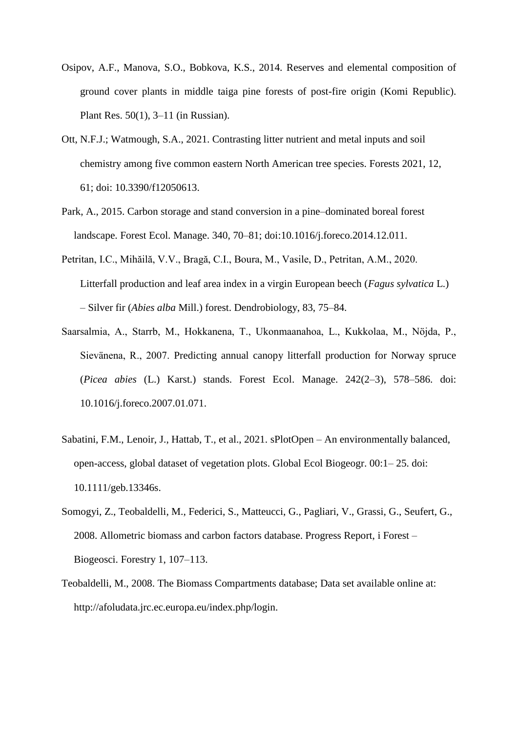- Osipov, A.F., Manova, S.O., Bobkova, K.S., 2014. Reserves and elemental composition of ground cover plants in middle taiga pine forests of post-fire origin (Komi Republic). Plant Res. 50(1), 3–11 (in Russian).
- Ott, N.F.J.; Watmough, S.A., 2021. Contrasting litter nutrient and metal inputs and soil chemistry among five common eastern North American tree species. Forests 2021, 12, 61; [doi: 10.3390/f12050613.](https://doi.org/10.3390/f12050613)
- Park, A., 2015. Carbon storage and stand conversion in a pine–dominated boreal forest landscape. Forest Ecol. Manage. 340, 70–81; doi:10.1016/j.foreco.2014.12.011.
- Petritan, I.C., Mihăilă, V.V., Bragă, C.I., Boura, M., Vasile, D., Petritan, A.M., 2020. Litterfall production and leaf area index in a virgin European beech (*Fagus sylvatica* L.) – Silver fir (*Abies alba* Mill.) forest. Dendrobiology, 83, 75–84.
- Saarsalmia, A., Starrb, M., Hokkanena, T., Ukonmaanahoa, L., Kukkolaa, M., Nöjda, P., Sievänena, R., 2007. Predicting annual canopy litterfall production for Norway spruce (*Picea abies* (L.) Karst.) stands. Forest Ecol. Manage. 242(2–3), 578–586. [doi:](https://doi.org/10.1016/j.foreco.2007.01.071)  [10.1016/j.foreco.2007.01.071.](https://doi.org/10.1016/j.foreco.2007.01.071)
- Sabatini, F.M., Lenoir, J., Hattab, T., et al., 2021. sPlotOpen An environmentally balanced, open-access, global dataset of vegetation plots. Global Ecol Biogeogr. 00:1– 25. doi: 10.1111/geb.13346s.
- Somogyi, Z., Teobaldelli, M., Federici, S., Matteucci, G., Pagliari, V., Grassi, G., Seufert, G., 2008. Allometric biomass and carbon factors database. Progress Report, i Forest – Biogeosci. Forestry 1, 107–113.
- Teobaldelli, M., 2008. The Biomass Compartments database; Data set available online at: http://afoludata.jrc.ec.europa.eu/index.php/login.